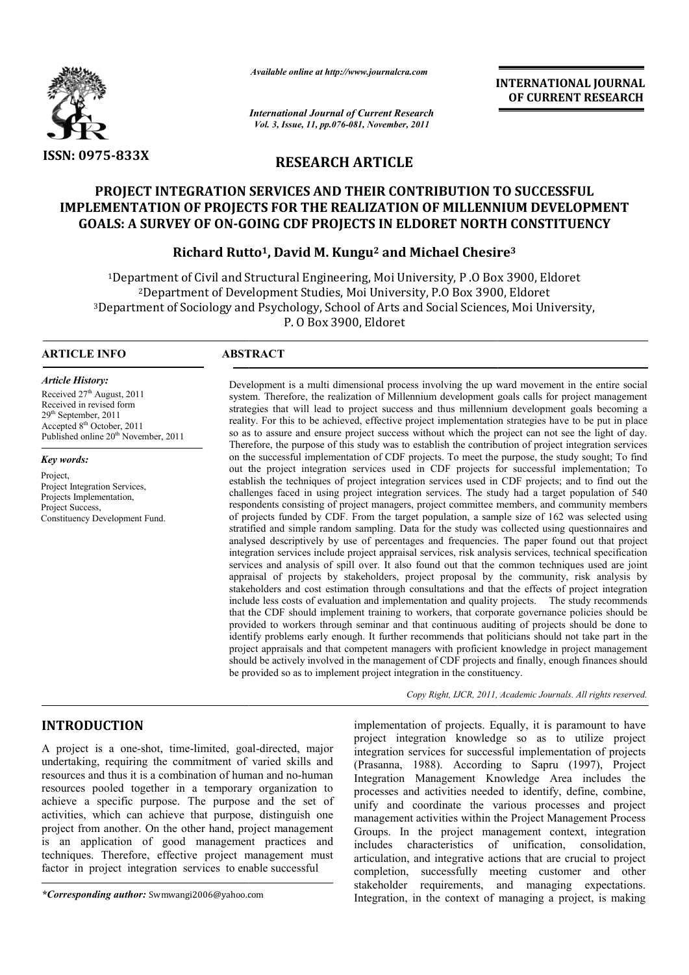

*Available online at http://www.journalcra.com*

*International Journal of Current Research*

**INTERNATIONAL INTERNATIONAL JOURNAL OF CURRENT RESEARCH** 

### **RESEARCH ARTICLE**

*Vol. 3, Issue, 11, pp.076-081, November, 2011*

## **PROJECT INTEGRATION SERVICES AND THEIR CONTRIBUTION TO SUCCESSFUL INTEGRATION SERVICES IMPLEMENTATION OF PROJECTS FOR THE REALIZATION OF MILLENNIUM DEVELOPMENT**<br>GOALS: A SURVEY OF ON-GOING CDF PROJECTS IN ELDORET NORTH CONSTITUENCY<br>Richard Rutto<sup>1</sup>, David M. Kungu<sup>2</sup> and Michael Chesire<sup>3</sup> **GOALS: A SURVEY OF ON-GOING CDF PROJECTS IN ELDORET NORTH CONSTITUENCY**

# **Richard Rutto GOING Rutto1, David M. Kungu2 and Michael Chesire**

1Department of Civil and Structural Engineering, Moi University, P .O Box 3900, Eldoret 2Department of Development Studies Department Studies, Moi University, P.O Box 3900, Eldoret 3Department of Sociology and Psychology, School of Arts and Social Sciences, Moi University, Department P. O Box 3900, Eldoret Department of Civil and Structural Engineering, Moi University, P .0 Box 3900, El<br><sup>2</sup>Department of Development Studies, Moi University, P.O Box 3900, Eldoret<br>partment of Sociology and Psychology, School of Arts and Social

 $\overline{a}$ 

#### **ARTICLE INFO ABSTRACT**

*Article History:* Received 27<sup>th</sup> August, 2011 Received in revised form 29th September, 2011 Accepted 8<sup>th</sup> October, 2011 Published online 20<sup>th</sup> November, 2011

#### *Key words:*

Project, Project Integration Services, Projects Implementation, Project Success, Constituency Development Fund.

Development is a multi dimensional process involving the up ward movement in the entire social system. Therefore, the realization of Millennium development goals calls for project management strategies that will lead to project success and thus millennium development goals becoming a reality. For this to be achieved, effective project implementation strategies have to be put in place so as to assure and ensure project success without which the project can not see the light of day. Theref Therefore, the purpose of this study was to establish the contribution of project integration services on the successful implementation of CDF projects. To meet the purpose, the study sought; To find system. Therefore, the realization of Millennium development goals calls for project management<br>strategies that will lead to project success and thus millennium development goals becoming a<br>reality. For this to be achieved establish the techniques of project integration services used in CDF projects; and to find out the challenges faced in using project integration services. The study had a target population of 540 respondents consisting of project managers, project committee members, and community members of projects funded by CDF. From the target population, a sample size of 162 was selected using stratified and simple random sampling. Data for the study was collected using questionnaires and analysed descriptively by use of percentages and frequencies. The paper found out that project integration services include project appraisal services, risk analysis services, technical specification analysed descriptively by use of percentages and frequencies. The paper found out that project<br>integration services include project appraisal services, risk analysis services, technical specification<br>services and analysis appraisal of projects by stakeholders, project proposal by the community, risk analysis by stakeholders and cost estimation through consultations and that the effects of project integration include less costs of evaluation and implementation and quality projects. The study recommends that the CDF should implement training to workers, that corporate governance policies should be provided to workers through seminar and that continuous auditing of projects should be d identify problems early enough. It further recommends that politicians should not take part in the project appraisals and that competent managers with proficient knowledge in project management should be actively involved in the management of CDF projects and finally, enough finances should be provided so as to implement project integration in the constituency. the techniques of project integration services used in CDF projects; and to find out the s faced in using project integration services. The study had a target population of 540 ths consisting of project managers, project c early enough. It further recommends that politicians should not take part in the and that competent management proficient knowledge in project management involved in the management of CDF projects and finally, enough finan **EXERVATIONAL FOUNDAL FOUNDAL FOUNDAL FOUNDAL FOUNDAL FOUNDAL CONTRIBUTION TO SUCCESSFUL.**<br> **ARTIFLE CONTRIBUTION TO SUCCESSFUL META CONTRIBUTION TO SUCCESSFUL.**<br> **ARTIFLE CONTRIBUTION TO SUCCESSFUL.**<br> **ARTIFLE CONTRIBUTI** 

Copy Right, IJCR, 2011, Academic Journals. All rights reserved.

#### **INTRODUCTION**

A project is a one-shot, time-limited, goal-directed, major undertaking, requiring the commitment of varied skills and resources and thus it is a combination of human and no-human resources pooled together in a temporary organization to achieve a specific purpose. The purpose and the set of activities, which can achieve that purpose, distinguish one project from another. On the other hand, project management project from another. On the other hand, project management is an application of good management practices and techniques. Therefore, effective project management must factor in project integration services to enable successful

*\*Corresponding author:* Swmwangi2006@yahoo.com

implementation of projects. Equally, it is paramount to have project integration knowledge so as to utilize project integration services for successful implementation of projects implementation of projects. Equally, it is paramount to have<br>project integration knowledge so as to utilize project<br>integration services for successful implementation of projects<br>(Prasanna, 1988). According to Sapru (1997) Integration Management Knowledge Area includes the Integration Management Knowledge Area includes the processes and activities needed to identify, define, combine, unify and coordinate the various processes and project management activities within the Project Management Process Groups. In the project management context, integration includes characteristics of unification, consolidation, articulation, and integrative actions that are crucial to project completion, successfully meeting customer and other stakeholder requirements, and managing expectations. Integration, in the context of managing a project, is making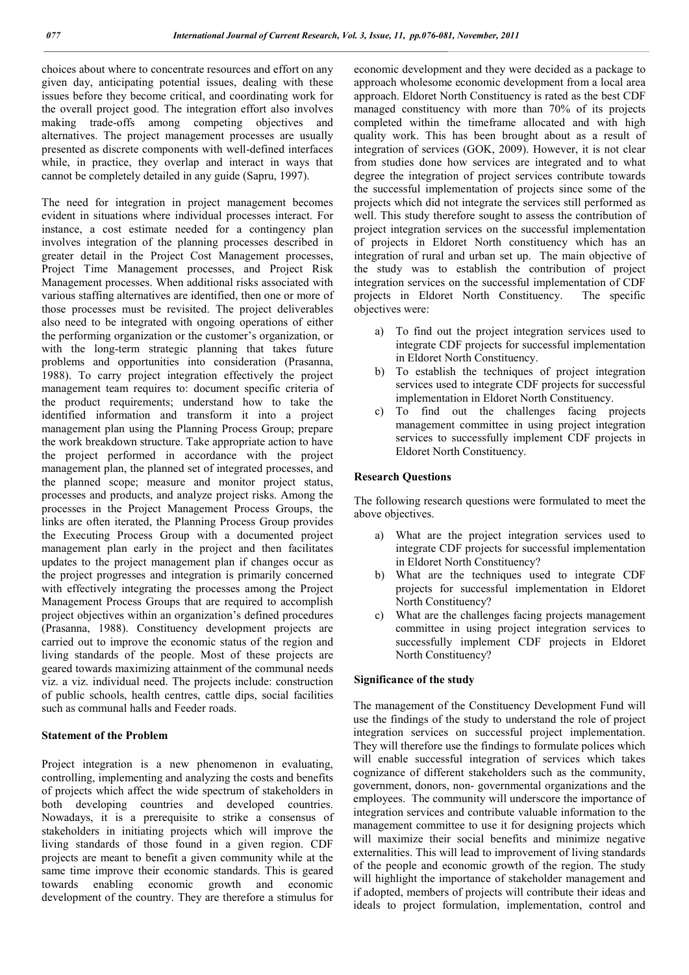choices about where to concentrate resources and effort on any given day, anticipating potential issues, dealing with these issues before they become critical, and coordinating work for the overall project good. The integration effort also involves making trade-offs among competing objectives and alternatives. The project management processes are usually presented as discrete components with well-defined interfaces while, in practice, they overlap and interact in ways that cannot be completely detailed in any guide (Sapru, 1997).

The need for integration in project management becomes evident in situations where individual processes interact. For instance, a cost estimate needed for a contingency plan involves integration of the planning processes described in greater detail in the Project Cost Management processes, Project Time Management processes, and Project Risk Management processes. When additional risks associated with various staffing alternatives are identified, then one or more of those processes must be revisited. The project deliverables also need to be integrated with ongoing operations of either the performing organization or the customer's organization, or with the long-term strategic planning that takes future problems and opportunities into consideration (Prasanna, 1988). To carry project integration effectively the project management team requires to: document specific criteria of the product requirements; understand how to take the identified information and transform it into a project management plan using the Planning Process Group; prepare the work breakdown structure. Take appropriate action to have the project performed in accordance with the project management plan, the planned set of integrated processes, and the planned scope; measure and monitor project status, processes and products, and analyze project risks. Among the processes in the Project Management Process Groups, the links are often iterated, the Planning Process Group provides the Executing Process Group with a documented project management plan early in the project and then facilitates updates to the project management plan if changes occur as the project progresses and integration is primarily concerned with effectively integrating the processes among the Project Management Process Groups that are required to accomplish project objectives within an organization's defined procedures (Prasanna, 1988). Constituency development projects are carried out to improve the economic status of the region and living standards of the people. Most of these projects are geared towards maximizing attainment of the communal needs viz. a viz. individual need. The projects include: construction of public schools, health centres, cattle dips, social facilities such as communal halls and Feeder roads.

#### **Statement of the Problem**

Project integration is a new phenomenon in evaluating, controlling, implementing and analyzing the costs and benefits of projects which affect the wide spectrum of stakeholders in both developing countries and developed countries. Nowadays, it is a prerequisite to strike a consensus of stakeholders in initiating projects which will improve the living standards of those found in a given region. CDF projects are meant to benefit a given community while at the same time improve their economic standards. This is geared towards enabling economic growth and economic development of the country. They are therefore a stimulus for

economic development and they were decided as a package to approach wholesome economic development from a local area approach. Eldoret North Constituency is rated as the best CDF managed constituency with more than 70% of its projects completed within the timeframe allocated and with high quality work. This has been brought about as a result of integration of services (GOK, 2009). However, it is not clear from studies done how services are integrated and to what degree the integration of project services contribute towards the successful implementation of projects since some of the projects which did not integrate the services still performed as well. This study therefore sought to assess the contribution of project integration services on the successful implementation of projects in Eldoret North constituency which has an integration of rural and urban set up. The main objective of the study was to establish the contribution of project integration services on the successful implementation of CDF projects in Eldoret North Constituency. The specific objectives were:

- a) To find out the project integration services used to integrate CDF projects for successful implementation in Eldoret North Constituency.
- b) To establish the techniques of project integration services used to integrate CDF projects for successful implementation in Eldoret North Constituency.
- c) To find out the challenges facing projects management committee in using project integration services to successfully implement CDF projects in Eldoret North Constituency.

#### **Research Questions**

The following research questions were formulated to meet the above objectives.

- a) What are the project integration services used to integrate CDF projects for successful implementation in Eldoret North Constituency?
- b) What are the techniques used to integrate CDF projects for successful implementation in Eldoret North Constituency?
- c) What are the challenges facing projects management committee in using project integration services to successfully implement CDF projects in Eldoret North Constituency?

#### **Significance of the study**

The management of the Constituency Development Fund will use the findings of the study to understand the role of project integration services on successful project implementation. They will therefore use the findings to formulate polices which will enable successful integration of services which takes cognizance of different stakeholders such as the community, government, donors, non- governmental organizations and the employees. The community will underscore the importance of integration services and contribute valuable information to the management committee to use it for designing projects which will maximize their social benefits and minimize negative externalities. This will lead to improvement of living standards of the people and economic growth of the region. The study will highlight the importance of stakeholder management and if adopted, members of projects will contribute their ideas and ideals to project formulation, implementation, control and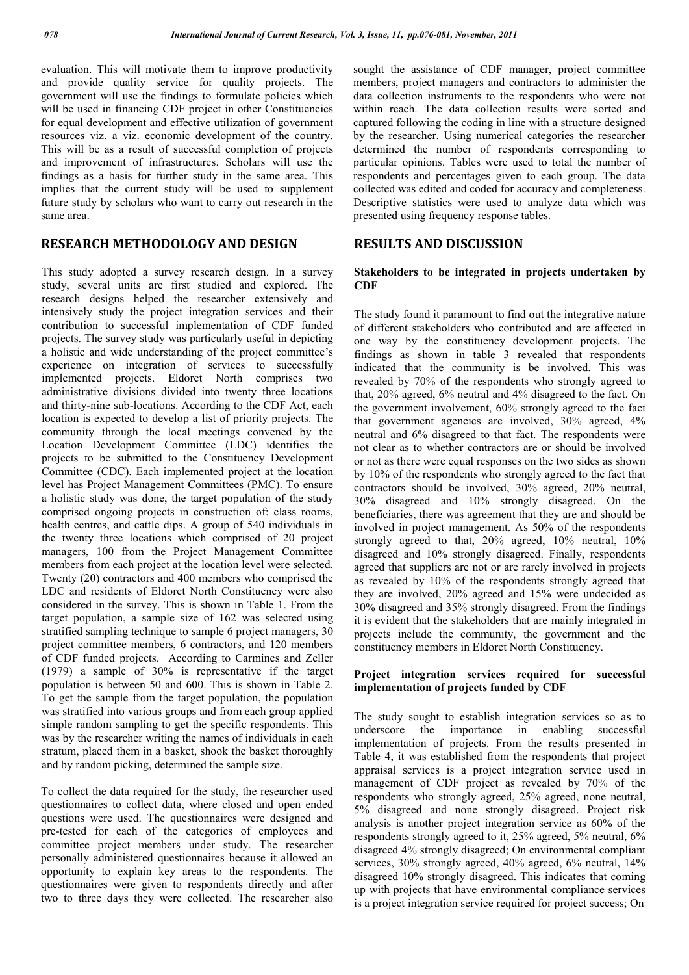evaluation. This will motivate them to improve productivity and provide quality service for quality projects. The government will use the findings to formulate policies which will be used in financing CDF project in other Constituencies for equal development and effective utilization of government resources viz. a viz. economic development of the country. This will be as a result of successful completion of projects and improvement of infrastructures. Scholars will use the findings as a basis for further study in the same area. This implies that the current study will be used to supplement future study by scholars who want to carry out research in the same area.

#### **RESEARCH METHODOLOGY AND DESIGN**

This study adopted a survey research design. In a survey study, several units are first studied and explored. The research designs helped the researcher extensively and intensively study the project integration services and their contribution to successful implementation of CDF funded projects. The survey study was particularly useful in depicting a holistic and wide understanding of the project committee's experience on integration of services to successfully implemented projects. Eldoret North comprises two administrative divisions divided into twenty three locations and thirty-nine sub-locations. According to the CDF Act, each location is expected to develop a list of priority projects. The community through the local meetings convened by the Location Development Committee (LDC) identifies the projects to be submitted to the Constituency Development Committee (CDC). Each implemented project at the location level has Project Management Committees (PMC). To ensure a holistic study was done, the target population of the study comprised ongoing projects in construction of: class rooms, health centres, and cattle dips. A group of 540 individuals in the twenty three locations which comprised of 20 project managers, 100 from the Project Management Committee members from each project at the location level were selected. Twenty (20) contractors and 400 members who comprised the LDC and residents of Eldoret North Constituency were also considered in the survey. This is shown in Table 1. From the target population, a sample size of 162 was selected using stratified sampling technique to sample 6 project managers, 30 project committee members, 6 contractors, and 120 members of CDF funded projects. According to Carmines and Zeller (1979) a sample of 30% is representative if the target population is between 50 and 600. This is shown in Table 2. To get the sample from the target population, the population was stratified into various groups and from each group applied simple random sampling to get the specific respondents. This was by the researcher writing the names of individuals in each stratum, placed them in a basket, shook the basket thoroughly and by random picking, determined the sample size.

To collect the data required for the study, the researcher used questionnaires to collect data, where closed and open ended questions were used. The questionnaires were designed and pre-tested for each of the categories of employees and committee project members under study. The researcher personally administered questionnaires because it allowed an opportunity to explain key areas to the respondents. The questionnaires were given to respondents directly and after two to three days they were collected. The researcher also

sought the assistance of CDF manager, project committee members, project managers and contractors to administer the data collection instruments to the respondents who were not within reach. The data collection results were sorted and captured following the coding in line with a structure designed by the researcher. Using numerical categories the researcher determined the number of respondents corresponding to particular opinions. Tables were used to total the number of respondents and percentages given to each group. The data collected was edited and coded for accuracy and completeness. Descriptive statistics were used to analyze data which was presented using frequency response tables.

#### **RESULTS AND DISCUSSION**

#### **Stakeholders to be integrated in projects undertaken by CDF**

The study found it paramount to find out the integrative nature of different stakeholders who contributed and are affected in one way by the constituency development projects. The findings as shown in table 3 revealed that respondents indicated that the community is be involved. This was revealed by 70% of the respondents who strongly agreed to that, 20% agreed, 6% neutral and 4% disagreed to the fact. On the government involvement, 60% strongly agreed to the fact that government agencies are involved, 30% agreed, 4% neutral and 6% disagreed to that fact. The respondents were not clear as to whether contractors are or should be involved or not as there were equal responses on the two sides as shown by 10% of the respondents who strongly agreed to the fact that contractors should be involved, 30% agreed, 20% neutral, 30% disagreed and 10% strongly disagreed. On the beneficiaries, there was agreement that they are and should be involved in project management. As 50% of the respondents strongly agreed to that, 20% agreed, 10% neutral, 10% disagreed and 10% strongly disagreed. Finally, respondents agreed that suppliers are not or are rarely involved in projects as revealed by 10% of the respondents strongly agreed that they are involved, 20% agreed and 15% were undecided as 30% disagreed and 35% strongly disagreed. From the findings it is evident that the stakeholders that are mainly integrated in projects include the community, the government and the constituency members in Eldoret North Constituency.

#### **Project integration services required for successful implementation of projects funded by CDF**

The study sought to establish integration services so as to underscore the importance in enabling successful implementation of projects. From the results presented in Table 4, it was established from the respondents that project appraisal services is a project integration service used in management of CDF project as revealed by 70% of the respondents who strongly agreed, 25% agreed, none neutral, 5% disagreed and none strongly disagreed. Project risk analysis is another project integration service as 60% of the respondents strongly agreed to it, 25% agreed, 5% neutral, 6% disagreed 4% strongly disagreed; On environmental compliant services, 30% strongly agreed, 40% agreed, 6% neutral, 14% disagreed 10% strongly disagreed. This indicates that coming up with projects that have environmental compliance services is a project integration service required for project success; On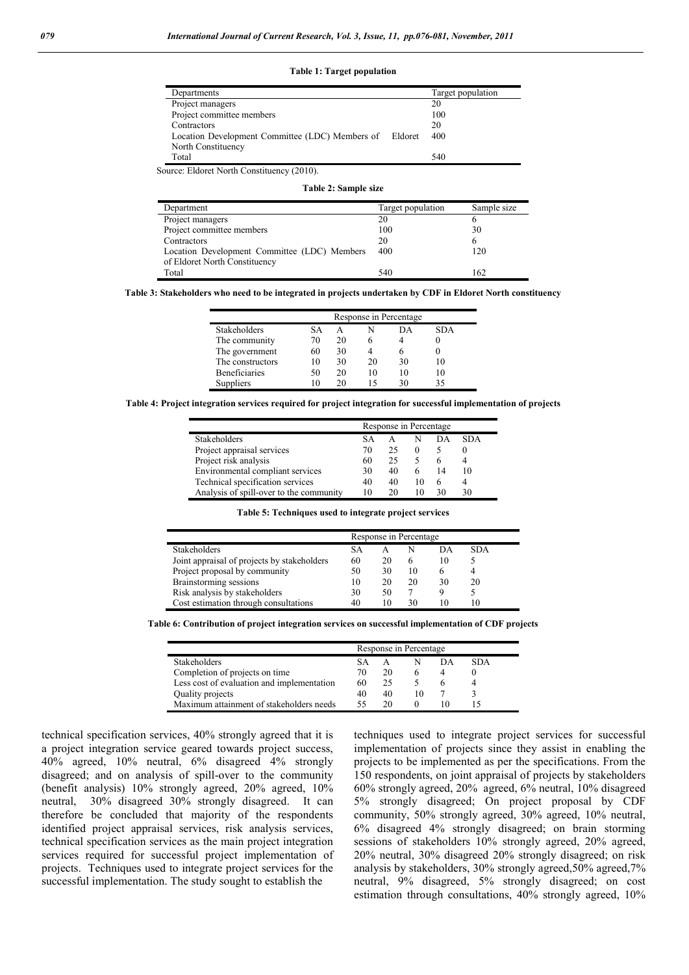#### **Table 1: Target population**

| Departments                                                           |                   |     | Target population |
|-----------------------------------------------------------------------|-------------------|-----|-------------------|
| Project managers                                                      |                   | 20  |                   |
| Project committee members                                             |                   | 100 |                   |
| Contractors                                                           |                   | 20  |                   |
| Location Development Committee (LDC) Members of<br>North Constituency | Eldoret           | 400 |                   |
| Total                                                                 |                   | 540 |                   |
| Source: Eldoret North Constituency (2010).<br>Table 2: Sample size    |                   |     |                   |
| Department                                                            | Target population |     | Sample size       |
| Desiast managara                                                      | 20                |     | L                 |

| rarger population | <b>DUILDIV JILV</b> |
|-------------------|---------------------|
| 20                |                     |
| 100               | 30                  |
| 20                |                     |
| 400               | 120                 |
|                   |                     |
| 540               | 162                 |
|                   |                     |

**Table 3: Stakeholders who need to be integrated in projects undertaken by CDF in Eldoret North constituency**

|                      | Response in Percentage |    |    |    |            |  |
|----------------------|------------------------|----|----|----|------------|--|
| Stakeholders         | SА                     | А  |    | DА | <b>SDA</b> |  |
| The community        | 70                     | 20 | 6  |    |            |  |
| The government       | 60                     | 30 |    | 6  |            |  |
| The constructors     | 10                     | 30 | 20 | 30 | 10         |  |
| <b>Beneficiaries</b> | 50                     | 20 | 10 | 10 | 10         |  |
| Suppliers            | 10                     | 20 | 15 | 30 | 35         |  |

**Table 4: Project integration services required for project integration for successful implementation of projects**

|                                         | Response in Percentage |    |    |    |            |  |
|-----------------------------------------|------------------------|----|----|----|------------|--|
| <b>Stakeholders</b>                     | SА                     |    |    | DА | <b>SDA</b> |  |
| Project appraisal services              | 70                     | 25 |    |    |            |  |
| Project risk analysis                   | 60                     | 25 |    |    |            |  |
| Environmental compliant services        | 30                     | 40 | h  | 14 | 10         |  |
| Technical specification services        | 40                     | 40 | 10 | h  |            |  |
| Analysis of spill-over to the community | 10                     | 20 | 10 |    | 30         |  |

|  | Table 5: Techniques used to integrate project services |  |
|--|--------------------------------------------------------|--|
|  |                                                        |  |

|                                             |    | Response in Percentage |               |    |     |  |
|---------------------------------------------|----|------------------------|---------------|----|-----|--|
| <b>Stakeholders</b>                         | SА |                        |               | DА | SDA |  |
| Joint appraisal of projects by stakeholders | 60 | 20                     | $\mathfrak h$ | 10 |     |  |
| Project proposal by community               | 50 | 30                     | 10            | n  |     |  |
| Brainstorming sessions                      | 10 | 20                     | 20            | 30 | 20  |  |
| Risk analysis by stakeholders               | 30 | 50                     |               |    |     |  |
| Cost estimation through consultations       | 40 | 10                     | 30            |    |     |  |

**Table 6: Contribution of project integration services on successful implementation of CDF projects**

|                                            | Response in Percentage |    |    |    |     |
|--------------------------------------------|------------------------|----|----|----|-----|
| <b>Stakeholders</b>                        | SА                     |    |    | DА | SDA |
| Completion of projects on time             |                        | 20 | h  |    |     |
| Less cost of evaluation and implementation |                        | 25 |    |    |     |
| Quality projects                           |                        | 40 | 10 |    |     |
| Maximum attainment of stakeholders needs   | 55                     | 20 |    |    |     |

technical specification services, 40% strongly agreed that it is a project integration service geared towards project success, 40% agreed, 10% neutral, 6% disagreed 4% strongly disagreed; and on analysis of spill-over to the community (benefit analysis) 10% strongly agreed, 20% agreed, 10% neutral, 30% disagreed 30% strongly disagreed. It can therefore be concluded that majority of the respondents identified project appraisal services, risk analysis services, technical specification services as the main project integration services required for successful project implementation of projects. Techniques used to integrate project services for the successful implementation. The study sought to establish the

techniques used to integrate project services for successful implementation of projects since they assist in enabling the projects to be implemented as per the specifications. From the 150 respondents, on joint appraisal of projects by stakeholders 60% strongly agreed, 20% agreed, 6% neutral, 10% disagreed 5% strongly disagreed; On project proposal by CDF community, 50% strongly agreed, 30% agreed, 10% neutral, 6% disagreed 4% strongly disagreed; on brain storming sessions of stakeholders 10% strongly agreed, 20% agreed, 20% neutral, 30% disagreed 20% strongly disagreed; on risk analysis by stakeholders, 30% strongly agreed,50% agreed,7% neutral, 9% disagreed, 5% strongly disagreed; on cost estimation through consultations, 40% strongly agreed, 10%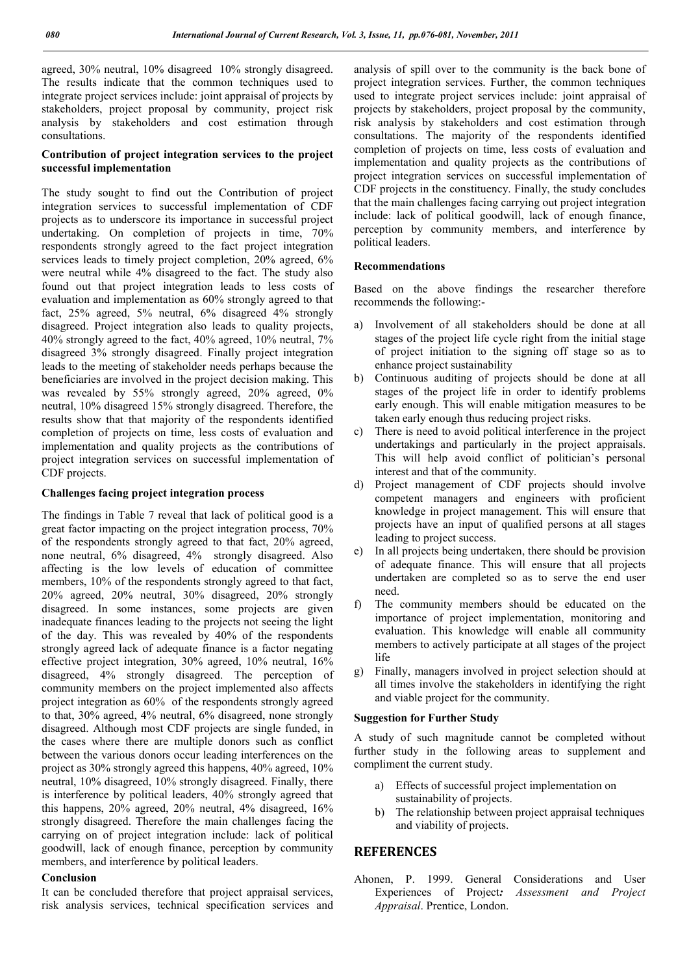agreed, 30% neutral, 10% disagreed 10% strongly disagreed. The results indicate that the common techniques used to integrate project services include: joint appraisal of projects by stakeholders, project proposal by community, project risk analysis by stakeholders and cost estimation through consultations.

#### **Contribution of project integration services to the project successful implementation**

The study sought to find out the Contribution of project integration services to successful implementation of CDF projects as to underscore its importance in successful project undertaking. On completion of projects in time, 70% respondents strongly agreed to the fact project integration services leads to timely project completion, 20% agreed, 6% were neutral while 4% disagreed to the fact. The study also found out that project integration leads to less costs of evaluation and implementation as 60% strongly agreed to that fact, 25% agreed, 5% neutral, 6% disagreed 4% strongly disagreed. Project integration also leads to quality projects, 40% strongly agreed to the fact, 40% agreed, 10% neutral, 7% disagreed 3% strongly disagreed. Finally project integration leads to the meeting of stakeholder needs perhaps because the beneficiaries are involved in the project decision making. This was revealed by 55% strongly agreed, 20% agreed, 0% neutral, 10% disagreed 15% strongly disagreed. Therefore, the results show that that majority of the respondents identified completion of projects on time, less costs of evaluation and implementation and quality projects as the contributions of project integration services on successful implementation of CDF projects.

#### **Challenges facing project integration process**

The findings in Table 7 reveal that lack of political good is a great factor impacting on the project integration process, 70% of the respondents strongly agreed to that fact, 20% agreed, none neutral, 6% disagreed, 4% strongly disagreed. Also affecting is the low levels of education of committee members,  $10\%$  of the respondents strongly agreed to that fact, 20% agreed, 20% neutral, 30% disagreed, 20% strongly disagreed. In some instances, some projects are given inadequate finances leading to the projects not seeing the light of the day. This was revealed by 40% of the respondents strongly agreed lack of adequate finance is a factor negating effective project integration, 30% agreed, 10% neutral, 16% disagreed, 4% strongly disagreed. The perception of community members on the project implemented also affects project integration as 60% of the respondents strongly agreed to that, 30% agreed, 4% neutral, 6% disagreed, none strongly disagreed. Although most CDF projects are single funded, in the cases where there are multiple donors such as conflict between the various donors occur leading interferences on the project as 30% strongly agreed this happens, 40% agreed, 10% neutral, 10% disagreed, 10% strongly disagreed. Finally, there is interference by political leaders, 40% strongly agreed that this happens, 20% agreed, 20% neutral, 4% disagreed, 16% strongly disagreed. Therefore the main challenges facing the carrying on of project integration include: lack of political goodwill, lack of enough finance, perception by community members, and interference by political leaders.

#### **Conclusion**

It can be concluded therefore that project appraisal services, risk analysis services, technical specification services and analysis of spill over to the community is the back bone of project integration services. Further, the common techniques used to integrate project services include: joint appraisal of projects by stakeholders, project proposal by the community, risk analysis by stakeholders and cost estimation through consultations. The majority of the respondents identified completion of projects on time, less costs of evaluation and implementation and quality projects as the contributions of project integration services on successful implementation of CDF projects in the constituency. Finally, the study concludes that the main challenges facing carrying out project integration include: lack of political goodwill, lack of enough finance, perception by community members, and interference by political leaders.

#### **Recommendations**

Based on the above findings the researcher therefore recommends the following:-

- a) Involvement of all stakeholders should be done at all stages of the project life cycle right from the initial stage of project initiation to the signing off stage so as to enhance project sustainability
- b) Continuous auditing of projects should be done at all stages of the project life in order to identify problems early enough. This will enable mitigation measures to be taken early enough thus reducing project risks.
- c) There is need to avoid political interference in the project undertakings and particularly in the project appraisals. This will help avoid conflict of politician's personal interest and that of the community.
- d) Project management of CDF projects should involve competent managers and engineers with proficient knowledge in project management. This will ensure that projects have an input of qualified persons at all stages leading to project success.
- e) In all projects being undertaken, there should be provision of adequate finance. This will ensure that all projects undertaken are completed so as to serve the end user need.
- f) The community members should be educated on the importance of project implementation, monitoring and evaluation. This knowledge will enable all community members to actively participate at all stages of the project life
- g) Finally, managers involved in project selection should at all times involve the stakeholders in identifying the right and viable project for the community.

#### **Suggestion for Further Study**

A study of such magnitude cannot be completed without further study in the following areas to supplement and compliment the current study.

- a) Effects of successful project implementation on sustainability of projects.
- b) The relationship between project appraisal techniques and viability of projects.

#### **REFERENCES**

Ahonen, P. 1999. General Considerations and User Experiences of Project*: Assessment and Project Appraisal*. Prentice, London.